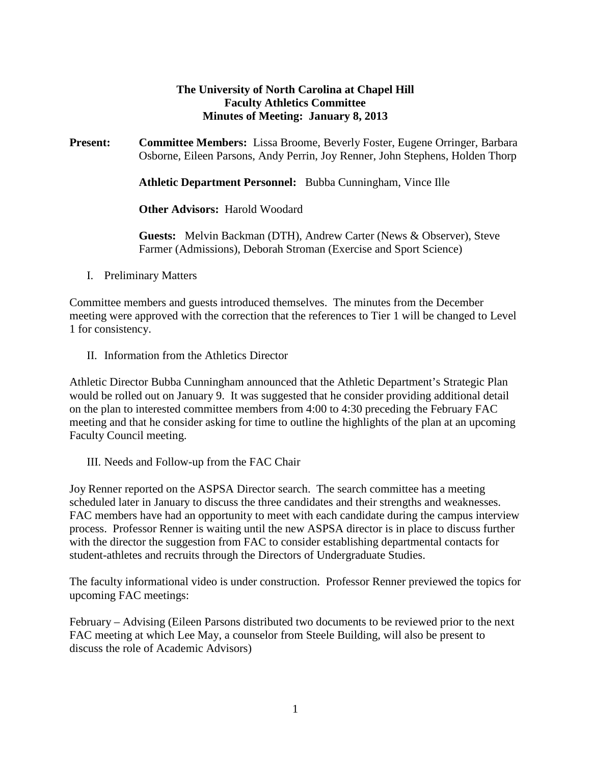# **The University of North Carolina at Chapel Hill Faculty Athletics Committee Minutes of Meeting: January 8, 2013**

**Present: Committee Members:** Lissa Broome, Beverly Foster, Eugene Orringer, Barbara Osborne, Eileen Parsons, Andy Perrin, Joy Renner, John Stephens, Holden Thorp

**Athletic Department Personnel:** Bubba Cunningham, Vince Ille

**Other Advisors:** Harold Woodard

**Guests:** Melvin Backman (DTH), Andrew Carter (News & Observer), Steve Farmer (Admissions), Deborah Stroman (Exercise and Sport Science)

I. Preliminary Matters

Committee members and guests introduced themselves. The minutes from the December meeting were approved with the correction that the references to Tier 1 will be changed to Level 1 for consistency.

II. Information from the Athletics Director

Athletic Director Bubba Cunningham announced that the Athletic Department's Strategic Plan would be rolled out on January 9. It was suggested that he consider providing additional detail on the plan to interested committee members from 4:00 to 4:30 preceding the February FAC meeting and that he consider asking for time to outline the highlights of the plan at an upcoming Faculty Council meeting.

III. Needs and Follow-up from the FAC Chair

Joy Renner reported on the ASPSA Director search. The search committee has a meeting scheduled later in January to discuss the three candidates and their strengths and weaknesses. FAC members have had an opportunity to meet with each candidate during the campus interview process. Professor Renner is waiting until the new ASPSA director is in place to discuss further with the director the suggestion from FAC to consider establishing departmental contacts for student-athletes and recruits through the Directors of Undergraduate Studies.

The faculty informational video is under construction. Professor Renner previewed the topics for upcoming FAC meetings:

February – Advising (Eileen Parsons distributed two documents to be reviewed prior to the next FAC meeting at which Lee May, a counselor from Steele Building, will also be present to discuss the role of Academic Advisors)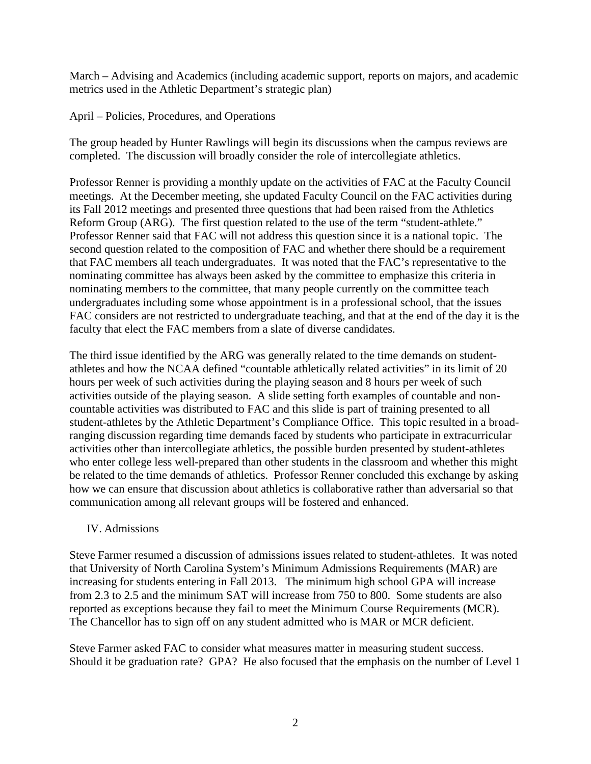March – Advising and Academics (including academic support, reports on majors, and academic metrics used in the Athletic Department's strategic plan)

April – Policies, Procedures, and Operations

The group headed by Hunter Rawlings will begin its discussions when the campus reviews are completed. The discussion will broadly consider the role of intercollegiate athletics.

Professor Renner is providing a monthly update on the activities of FAC at the Faculty Council meetings. At the December meeting, she updated Faculty Council on the FAC activities during its Fall 2012 meetings and presented three questions that had been raised from the Athletics Reform Group (ARG). The first question related to the use of the term "student-athlete." Professor Renner said that FAC will not address this question since it is a national topic. The second question related to the composition of FAC and whether there should be a requirement that FAC members all teach undergraduates. It was noted that the FAC's representative to the nominating committee has always been asked by the committee to emphasize this criteria in nominating members to the committee, that many people currently on the committee teach undergraduates including some whose appointment is in a professional school, that the issues FAC considers are not restricted to undergraduate teaching, and that at the end of the day it is the faculty that elect the FAC members from a slate of diverse candidates.

The third issue identified by the ARG was generally related to the time demands on studentathletes and how the NCAA defined "countable athletically related activities" in its limit of 20 hours per week of such activities during the playing season and 8 hours per week of such activities outside of the playing season. A slide setting forth examples of countable and noncountable activities was distributed to FAC and this slide is part of training presented to all student-athletes by the Athletic Department's Compliance Office. This topic resulted in a broadranging discussion regarding time demands faced by students who participate in extracurricular activities other than intercollegiate athletics, the possible burden presented by student-athletes who enter college less well-prepared than other students in the classroom and whether this might be related to the time demands of athletics. Professor Renner concluded this exchange by asking how we can ensure that discussion about athletics is collaborative rather than adversarial so that communication among all relevant groups will be fostered and enhanced.

## IV. Admissions

Steve Farmer resumed a discussion of admissions issues related to student-athletes. It was noted that University of North Carolina System's Minimum Admissions Requirements (MAR) are increasing for students entering in Fall 2013. The minimum high school GPA will increase from 2.3 to 2.5 and the minimum SAT will increase from 750 to 800. Some students are also reported as exceptions because they fail to meet the Minimum Course Requirements (MCR). The Chancellor has to sign off on any student admitted who is MAR or MCR deficient.

Steve Farmer asked FAC to consider what measures matter in measuring student success. Should it be graduation rate? GPA? He also focused that the emphasis on the number of Level 1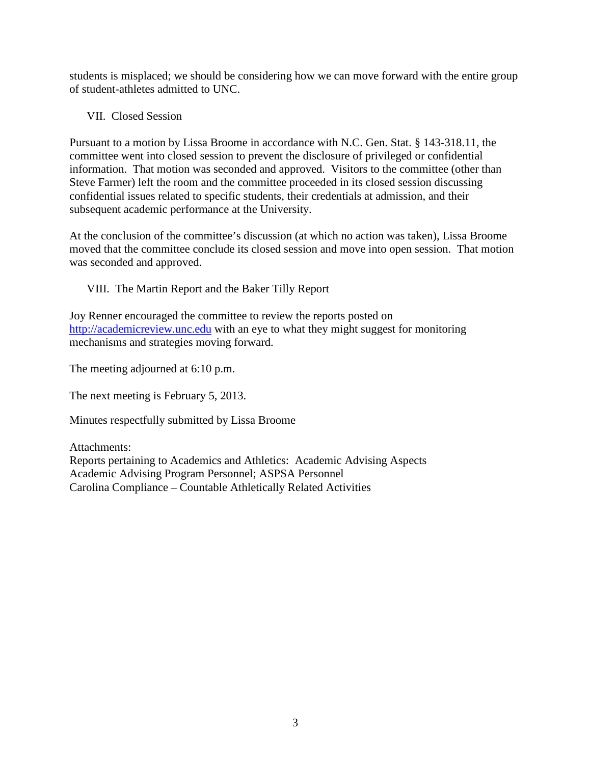students is misplaced; we should be considering how we can move forward with the entire group of student-athletes admitted to UNC.

VII. Closed Session

Pursuant to a motion by Lissa Broome in accordance with N.C. Gen. Stat. § 143-318.11, the committee went into closed session to prevent the disclosure of privileged or confidential information. That motion was seconded and approved. Visitors to the committee (other than Steve Farmer) left the room and the committee proceeded in its closed session discussing confidential issues related to specific students, their credentials at admission, and their subsequent academic performance at the University.

At the conclusion of the committee's discussion (at which no action was taken), Lissa Broome moved that the committee conclude its closed session and move into open session. That motion was seconded and approved.

VIII. The Martin Report and the Baker Tilly Report

Joy Renner encouraged the committee to review the reports posted on [http://academicreview.unc.edu](http://academicreview.unc.edu/) with an eye to what they might suggest for monitoring mechanisms and strategies moving forward.

The meeting adjourned at 6:10 p.m.

The next meeting is February 5, 2013.

Minutes respectfully submitted by Lissa Broome

Attachments: Reports pertaining to Academics and Athletics: Academic Advising Aspects Academic Advising Program Personnel; ASPSA Personnel Carolina Compliance – Countable Athletically Related Activities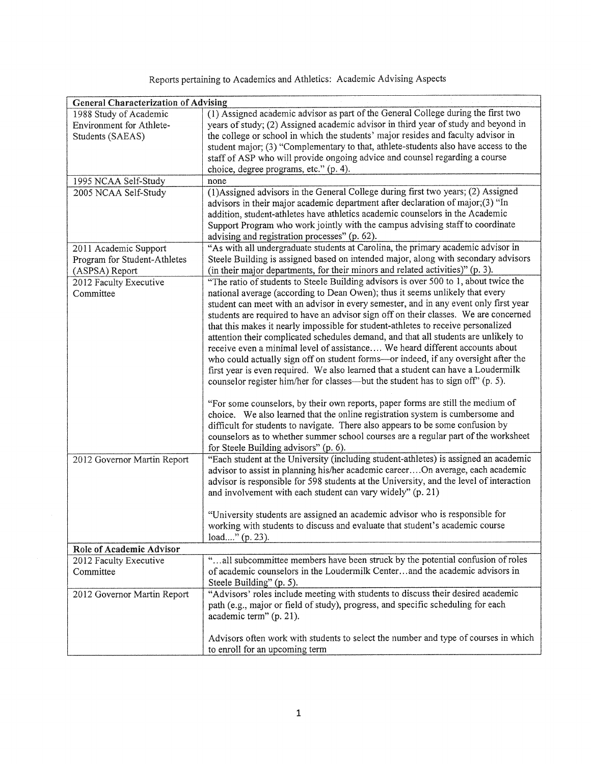Reports pertaining to Academics and Athletics: Academic Advising Aspects

| <b>General Characterization of Advising</b> |                                                                                         |  |  |  |  |  |  |  |  |  |
|---------------------------------------------|-----------------------------------------------------------------------------------------|--|--|--|--|--|--|--|--|--|
| 1988 Study of Academic                      | (1) Assigned academic advisor as part of the General College during the first two       |  |  |  |  |  |  |  |  |  |
| Environment for Athlete-                    | years of study; (2) Assigned academic advisor in third year of study and beyond in      |  |  |  |  |  |  |  |  |  |
| Students (SAEAS)                            | the college or school in which the students' major resides and faculty advisor in       |  |  |  |  |  |  |  |  |  |
|                                             | student major; (3) "Complementary to that, athlete-students also have access to the     |  |  |  |  |  |  |  |  |  |
|                                             | staff of ASP who will provide ongoing advice and counsel regarding a course             |  |  |  |  |  |  |  |  |  |
|                                             | choice, degree programs, etc." (p. 4).                                                  |  |  |  |  |  |  |  |  |  |
| 1995 NCAA Self-Study                        | none                                                                                    |  |  |  |  |  |  |  |  |  |
| 2005 NCAA Self-Study                        | (1) Assigned advisors in the General College during first two years; (2) Assigned       |  |  |  |  |  |  |  |  |  |
|                                             | advisors in their major academic department after declaration of major;(3) "In          |  |  |  |  |  |  |  |  |  |
|                                             | addition, student-athletes have athletics academic counselors in the Academic           |  |  |  |  |  |  |  |  |  |
|                                             | Support Program who work jointly with the campus advising staff to coordinate           |  |  |  |  |  |  |  |  |  |
|                                             | advising and registration processes" (p. 62).                                           |  |  |  |  |  |  |  |  |  |
|                                             | "As with all undergraduate students at Carolina, the primary academic advisor in        |  |  |  |  |  |  |  |  |  |
| 2011 Academic Support                       |                                                                                         |  |  |  |  |  |  |  |  |  |
| Program for Student-Athletes                | Steele Building is assigned based on intended major, along with secondary advisors      |  |  |  |  |  |  |  |  |  |
| (ASPSA) Report                              | (in their major departments, for their minors and related activities)" (p. 3).          |  |  |  |  |  |  |  |  |  |
| 2012 Faculty Executive                      | "The ratio of students to Steele Building advisors is over 500 to 1, about twice the    |  |  |  |  |  |  |  |  |  |
| Committee                                   | national average (according to Dean Owen); thus it seems unlikely that every            |  |  |  |  |  |  |  |  |  |
|                                             | student can meet with an advisor in every semester, and in any event only first year    |  |  |  |  |  |  |  |  |  |
|                                             | students are required to have an advisor sign off on their classes. We are concerned    |  |  |  |  |  |  |  |  |  |
|                                             | that this makes it nearly impossible for student-athletes to receive personalized       |  |  |  |  |  |  |  |  |  |
|                                             | attention their complicated schedules demand, and that all students are unlikely to     |  |  |  |  |  |  |  |  |  |
|                                             | receive even a minimal level of assistance We heard different accounts about            |  |  |  |  |  |  |  |  |  |
|                                             | who could actually sign off on student forms-or indeed, if any oversight after the      |  |  |  |  |  |  |  |  |  |
|                                             | first year is even required. We also learned that a student can have a Loudermilk       |  |  |  |  |  |  |  |  |  |
|                                             | counselor register him/her for classes—but the student has to sign off" (p. 5).         |  |  |  |  |  |  |  |  |  |
|                                             | "For some counselors, by their own reports, paper forms are still the medium of         |  |  |  |  |  |  |  |  |  |
|                                             | choice. We also learned that the online registration system is cumbersome and           |  |  |  |  |  |  |  |  |  |
|                                             | difficult for students to navigate. There also appears to be some confusion by          |  |  |  |  |  |  |  |  |  |
|                                             | counselors as to whether summer school courses are a regular part of the worksheet      |  |  |  |  |  |  |  |  |  |
|                                             | for Steele Building advisors" (p. 6).                                                   |  |  |  |  |  |  |  |  |  |
| 2012 Governor Martin Report                 | "Each student at the University (including student-athletes) is assigned an academic    |  |  |  |  |  |  |  |  |  |
|                                             | advisor to assist in planning his/her academic careerOn average, each academic          |  |  |  |  |  |  |  |  |  |
|                                             | advisor is responsible for 598 students at the University, and the level of interaction |  |  |  |  |  |  |  |  |  |
|                                             | and involvement with each student can vary widely" (p. 21)                              |  |  |  |  |  |  |  |  |  |
|                                             |                                                                                         |  |  |  |  |  |  |  |  |  |
|                                             | "University students are assigned an academic advisor who is responsible for            |  |  |  |  |  |  |  |  |  |
|                                             | working with students to discuss and evaluate that student's academic course            |  |  |  |  |  |  |  |  |  |
|                                             | load" (p. 23).                                                                          |  |  |  |  |  |  |  |  |  |
| Role of Academic Advisor                    |                                                                                         |  |  |  |  |  |  |  |  |  |
| 2012 Faculty Executive                      | "all subcommittee members have been struck by the potential confusion of roles          |  |  |  |  |  |  |  |  |  |
| Committee                                   | of academic counselors in the Loudermilk Centerand the academic advisors in             |  |  |  |  |  |  |  |  |  |
|                                             | Steele Building" (p. 5).                                                                |  |  |  |  |  |  |  |  |  |
| 2012 Governor Martin Report                 | "Advisors' roles include meeting with students to discuss their desired academic        |  |  |  |  |  |  |  |  |  |
|                                             | path (e.g., major or field of study), progress, and specific scheduling for each        |  |  |  |  |  |  |  |  |  |
|                                             | academic term" (p. 21).                                                                 |  |  |  |  |  |  |  |  |  |
|                                             |                                                                                         |  |  |  |  |  |  |  |  |  |
|                                             | Advisors often work with students to select the number and type of courses in which     |  |  |  |  |  |  |  |  |  |
|                                             | to enroll for an upcoming term                                                          |  |  |  |  |  |  |  |  |  |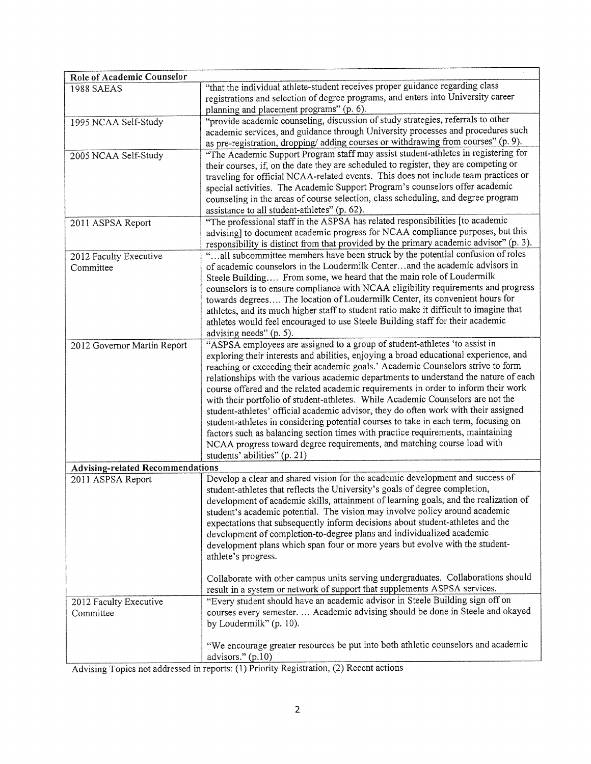| Role of Academic Counselor              |                                                                                        |  |  |  |  |  |  |
|-----------------------------------------|----------------------------------------------------------------------------------------|--|--|--|--|--|--|
| <b>1988 SAEAS</b>                       | "that the individual athlete-student receives proper guidance regarding class          |  |  |  |  |  |  |
|                                         | registrations and selection of degree programs, and enters into University career      |  |  |  |  |  |  |
|                                         | planning and placement programs" (p. 6).                                               |  |  |  |  |  |  |
| 1995 NCAA Self-Study                    | "provide academic counseling, discussion of study strategies, referrals to other       |  |  |  |  |  |  |
|                                         | academic services, and guidance through University processes and procedures such       |  |  |  |  |  |  |
|                                         | as pre-registration, dropping/ adding courses or withdrawing from courses" (p. 9).     |  |  |  |  |  |  |
| 2005 NCAA Self-Study                    | "The Academic Support Program staff may assist student-athletes in registering for     |  |  |  |  |  |  |
|                                         | their courses, if, on the date they are scheduled to register, they are competing or   |  |  |  |  |  |  |
|                                         | traveling for official NCAA-related events. This does not include team practices or    |  |  |  |  |  |  |
|                                         | special activities. The Academic Support Program's counselors offer academic           |  |  |  |  |  |  |
|                                         | counseling in the areas of course selection, class scheduling, and degree program      |  |  |  |  |  |  |
|                                         | assistance to all student-athletes" (p. 62).                                           |  |  |  |  |  |  |
| 2011 ASPSA Report                       | "The professional staff in the ASPSA has related responsibilities [to academic         |  |  |  |  |  |  |
|                                         | advising] to document academic progress for NCAA compliance purposes, but this         |  |  |  |  |  |  |
|                                         | responsibility is distinct from that provided by the primary academic advisor" (p. 3). |  |  |  |  |  |  |
| 2012 Faculty Executive                  | " all subcommittee members have been struck by the potential confusion of roles        |  |  |  |  |  |  |
| Committee                               | of academic counselors in the Loudermilk Centerand the academic advisors in            |  |  |  |  |  |  |
|                                         | Steele Building From some, we heard that the main role of Loudermilk                   |  |  |  |  |  |  |
|                                         | counselors is to ensure compliance with NCAA eligibility requirements and progress     |  |  |  |  |  |  |
|                                         | towards degrees The location of Loudermilk Center, its convenient hours for            |  |  |  |  |  |  |
|                                         | athletes, and its much higher staff to student ratio make it difficult to imagine that |  |  |  |  |  |  |
|                                         | athletes would feel encouraged to use Steele Building staff for their academic         |  |  |  |  |  |  |
|                                         | advising needs" (p. 5).                                                                |  |  |  |  |  |  |
| 2012 Governor Martin Report             | "ASPSA employees are assigned to a group of student-athletes 'to assist in             |  |  |  |  |  |  |
|                                         | exploring their interests and abilities, enjoying a broad educational experience, and  |  |  |  |  |  |  |
|                                         | reaching or exceeding their academic goals.' Academic Counselors strive to form        |  |  |  |  |  |  |
|                                         | relationships with the various academic departments to understand the nature of each   |  |  |  |  |  |  |
|                                         | course offered and the related academic requirements in order to inform their work     |  |  |  |  |  |  |
|                                         | with their portfolio of student-athletes. While Academic Counselors are not the        |  |  |  |  |  |  |
|                                         | student-athletes' official academic advisor, they do often work with their assigned    |  |  |  |  |  |  |
|                                         | student-athletes in considering potential courses to take in each term, focusing on    |  |  |  |  |  |  |
|                                         | factors such as balancing section times with practice requirements, maintaining        |  |  |  |  |  |  |
|                                         | NCAA progress toward degree requirements, and matching course load with                |  |  |  |  |  |  |
|                                         | students' abilities" (p. 21)                                                           |  |  |  |  |  |  |
| <b>Advising-related Recommendations</b> |                                                                                        |  |  |  |  |  |  |
| 2011 ASPSA Report                       | Develop a clear and shared vision for the academic development and success of          |  |  |  |  |  |  |
|                                         | student-athletes that reflects the University's goals of degree completion,            |  |  |  |  |  |  |
|                                         | development of academic skills, attainment of learning goals, and the realization of   |  |  |  |  |  |  |
|                                         | student's academic potential. The vision may involve policy around academic            |  |  |  |  |  |  |
|                                         | expectations that subsequently inform decisions about student-athletes and the         |  |  |  |  |  |  |
|                                         | development of completion-to-degree plans and individualized academic                  |  |  |  |  |  |  |
|                                         | development plans which span four or more years but evolve with the student-           |  |  |  |  |  |  |
|                                         | athlete's progress.                                                                    |  |  |  |  |  |  |
|                                         |                                                                                        |  |  |  |  |  |  |
|                                         | Collaborate with other campus units serving undergraduates. Collaborations should      |  |  |  |  |  |  |
|                                         | result in a system or network of support that supplements ASPSA services.              |  |  |  |  |  |  |
| 2012 Faculty Executive                  | "Every student should have an academic advisor in Steele Building sign off on          |  |  |  |  |  |  |
| Committee                               | courses every semester.  Academic advising should be done in Steele and okayed         |  |  |  |  |  |  |
|                                         | by Loudermilk" (p. 10).                                                                |  |  |  |  |  |  |
|                                         |                                                                                        |  |  |  |  |  |  |
|                                         | "We encourage greater resources be put into both athletic counselors and academic      |  |  |  |  |  |  |
|                                         | advisors." (p.10)                                                                      |  |  |  |  |  |  |
|                                         |                                                                                        |  |  |  |  |  |  |

Advising Topics not addressed in reports: (1) Priority Registration, (2) Recent actions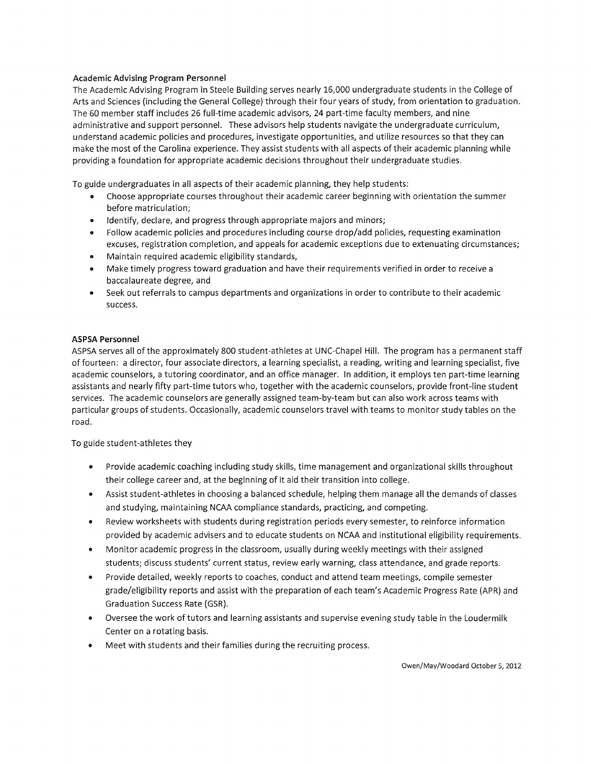### **Academic Advising Program Personnel**

The Academic Advising Program in Steele Building serves nearly 16,000 undergraduate students in the College of Arts and Sciences (including the General College) through their four years of study, from orientation to graduation. The 60 member staff includes 26 full-time academic advisors, 24 part-time faculty members, and nine administrative and support personnel. These advisors help students navigate the undergraduate curriculum, understand academic policies and procedures, investigate opportunities, and utilize resources so that they can make the most of the Carolina experience. They assist students with all aspects of their academic planning while providing a foundation for appropriate academic decisions throughout their undergraduate studies.

To guide undergraduates in all aspects of their academic planning, they help students:

- Choose appropriate courses throughout their academic career beginning with orientation the summer before matriculation;
- Identify, declare, and progress through appropriate majors and minors;
- Follow academic policies and procedures including course drop/add policies, requesting examination excuses, registration completion, and appeals for academic exceptions due to extenuating circumstances;
- Maintain required academic eligibility standards,
- Make timely progress toward graduation and have their requirements verified in order to receive a  $\bullet$ baccalaureate degree, and
- Seek out referrals to campus departments and organizations in order to contribute to their academic success.

### **ASPSA Personnel**

ASPSA serves all of the approximately 800 student-athletes at UNC-Chapel Hill. The program has a permanent staff of fourteen: a director, four associate directors, a learning specialist, a reading, writing and learning specialist, five academic counselors, a tutoring coordinator, and an office manager. In addition, it employs ten part-time learning assistants and nearly fifty part-time tutors who, together with the academic counselors, provide front-line student services. The academic counselors are generally assigned team-by-team but can also work across teams with particular groups of students. Occasionally, academic counselors travel with teams to monitor study tables on the road.

To guide student-athletes they

- Provide academic coaching including study skills, time management and organizational skills throughout their college career and, at the beginning of it aid their transition into college.
- Assist student-athletes in choosing a balanced schedule, helping them manage all the demands of classes and studying, maintaining NCAA compliance standards, practicing, and competing.
- Review worksheets with students during registration periods every semester, to reinforce information provided by academic advisers and to educate students on NCAA and institutional eligibility requirements.
- Monitor academic progress in the classroom, usually during weekly meetings with their assigned  $\bullet$ students; discuss students' current status, review early warning, class attendance, and grade reports.
- Provide detailed, weekly reports to coaches, conduct and attend team meetings, compile semester grade/eligibility reports and assist with the preparation of each team's Academic Progress Rate (APR) and Graduation Success Rate (GSR).
- Oversee the work of tutors and learning assistants and supervise evening study table in the Loudermilk Center on a rotating basis.
- Meet with students and their families during the recruiting process.